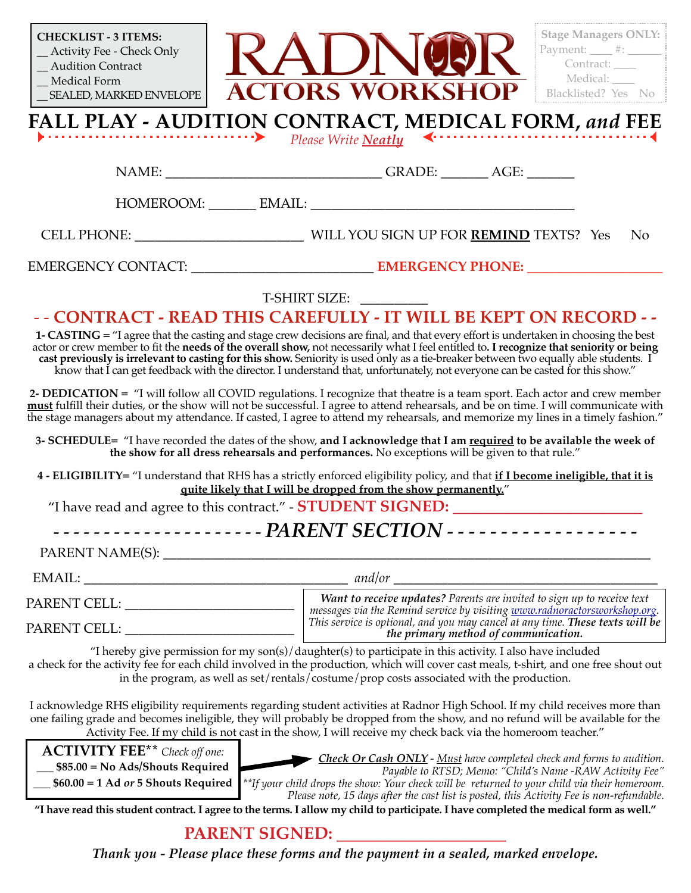| <b>CHECKLIST - 3 ITEMS:</b><br>_Activity Fee - Check Only                                                                                                                                                                                                                                                                                                                                                                                                                                                                                              | <b>Stage Managers ONLY:</b><br>Payment: $\qquad$ $\#$ :                                                                                                                                                                                                                                                                                                                       |
|--------------------------------------------------------------------------------------------------------------------------------------------------------------------------------------------------------------------------------------------------------------------------------------------------------------------------------------------------------------------------------------------------------------------------------------------------------------------------------------------------------------------------------------------------------|-------------------------------------------------------------------------------------------------------------------------------------------------------------------------------------------------------------------------------------------------------------------------------------------------------------------------------------------------------------------------------|
| <b>Audition Contract</b>                                                                                                                                                                                                                                                                                                                                                                                                                                                                                                                               | Contract:<br>Medical: ____                                                                                                                                                                                                                                                                                                                                                    |
| _Medical Form<br>SEALED, MARKED ENVELOPE                                                                                                                                                                                                                                                                                                                                                                                                                                                                                                               | <b>ACTORS WORKSHOP</b><br>Blacklisted? Yes No                                                                                                                                                                                                                                                                                                                                 |
|                                                                                                                                                                                                                                                                                                                                                                                                                                                                                                                                                        | FALL PLAY - AUDITION CONTRACT, MEDICAL FORM, and FEE                                                                                                                                                                                                                                                                                                                          |
| .                                                                                                                                                                                                                                                                                                                                                                                                                                                                                                                                                      | Please Write <b>Neatly</b>                                                                                                                                                                                                                                                                                                                                                    |
|                                                                                                                                                                                                                                                                                                                                                                                                                                                                                                                                                        | NAME: ___________________________________GRADE: ________ AGE: ___________________                                                                                                                                                                                                                                                                                             |
|                                                                                                                                                                                                                                                                                                                                                                                                                                                                                                                                                        |                                                                                                                                                                                                                                                                                                                                                                               |
|                                                                                                                                                                                                                                                                                                                                                                                                                                                                                                                                                        | N <sub>o</sub>                                                                                                                                                                                                                                                                                                                                                                |
|                                                                                                                                                                                                                                                                                                                                                                                                                                                                                                                                                        |                                                                                                                                                                                                                                                                                                                                                                               |
|                                                                                                                                                                                                                                                                                                                                                                                                                                                                                                                                                        | T-SHIRT SIZE:                                                                                                                                                                                                                                                                                                                                                                 |
| - - CONTRACT - READ THIS CAREFULLY - IT WILL BE KEPT ON RECORD - -                                                                                                                                                                                                                                                                                                                                                                                                                                                                                     |                                                                                                                                                                                                                                                                                                                                                                               |
| 1- CASTING = "I agree that the casting and stage crew decisions are final, and that every effort is undertaken in choosing the best<br>actor or crew member to fit the needs of the overall show, not necessarily what I feel entitled to. I recognize that seniority or being<br>cast previously is irrelevant to casting for this show. Seniority is used only as a tie-breaker between two equally able students. I<br>know that I can get feedback with the director. I understand that, unfortunately, not everyone can be casted for this show." |                                                                                                                                                                                                                                                                                                                                                                               |
| 2- DEDICATION = "I will follow all COVID regulations. I recognize that theatre is a team sport. Each actor and crew member<br>must fulfill their duties, or the show will not be successful. I agree to attend rehearsals, and be on time. I will communicate with<br>the stage managers about my attendance. If casted, I agree to attend my rehearsals, and memorize my lines in a timely fashion."                                                                                                                                                  |                                                                                                                                                                                                                                                                                                                                                                               |
| 3- SCHEDULE= "I have recorded the dates of the show, and I acknowledge that I am required to be available the week of<br>the show for all dress rehearsals and performances. No exceptions will be given to that rule."                                                                                                                                                                                                                                                                                                                                |                                                                                                                                                                                                                                                                                                                                                                               |
| 4 - ELIGIBILITY= "I understand that RHS has a strictly enforced eligibility policy, and that if I become ineligible, that it is                                                                                                                                                                                                                                                                                                                                                                                                                        |                                                                                                                                                                                                                                                                                                                                                                               |
| quite likely that I will be dropped from the show permanently."<br>"I have read and agree to this contract." - STUDENT SIGNED:                                                                                                                                                                                                                                                                                                                                                                                                                         |                                                                                                                                                                                                                                                                                                                                                                               |
|                                                                                                                                                                                                                                                                                                                                                                                                                                                                                                                                                        |                                                                                                                                                                                                                                                                                                                                                                               |
|                                                                                                                                                                                                                                                                                                                                                                                                                                                                                                                                                        |                                                                                                                                                                                                                                                                                                                                                                               |
|                                                                                                                                                                                                                                                                                                                                                                                                                                                                                                                                                        |                                                                                                                                                                                                                                                                                                                                                                               |
| PARENT CELL: ___________________________                                                                                                                                                                                                                                                                                                                                                                                                                                                                                                               | Want to receive updates? Parents are invited to sign up to receive text<br>messages via the Remind service by visiting www.radnoractorsworkshop.org.                                                                                                                                                                                                                          |
|                                                                                                                                                                                                                                                                                                                                                                                                                                                                                                                                                        | This service is optional, and you may cancel at any time. These texts will be<br>the primary method of communication.                                                                                                                                                                                                                                                         |
| "I hereby give permission for my son(s)/daughter(s) to participate in this activity. I also have included<br>a check for the activity fee for each child involved in the production, which will cover cast meals, t-shirt, and one free shout out<br>in the program, as well as set/rentals/costume/prop costs associated with the production.                                                                                                                                                                                                         |                                                                                                                                                                                                                                                                                                                                                                               |
|                                                                                                                                                                                                                                                                                                                                                                                                                                                                                                                                                        | I acknowledge RHS eligibility requirements regarding student activities at Radnor High School. If my child receives more than<br>one failing grade and becomes ineligible, they will probably be dropped from the show, and no refund will be available for the<br>Activity Fee. If my child is not cast in the show, I will receive my check back via the homeroom teacher." |
| <b>ACTIVITY FEE</b> ** Check off one:                                                                                                                                                                                                                                                                                                                                                                                                                                                                                                                  | <b>Check Or Cash ONLY</b> - Must have completed check and forms to audition.                                                                                                                                                                                                                                                                                                  |
| __ \$85.00 = No Ads/Shouts Required<br>Payable to RTSD; Memo: "Child's Name -RAW Activity Fee"<br>$$60.00 = 1$ Ad or 5 Shouts Required<br>**If your child drops the show: Your check will be returned to your child via their homeroom.                                                                                                                                                                                                                                                                                                                |                                                                                                                                                                                                                                                                                                                                                                               |
| Please note, 15 days after the cast list is posted, this Activity Fee is non-refundable.<br>"I have read this student contract. I agree to the terms. I allow my child to participate. I have completed the medical form as well."                                                                                                                                                                                                                                                                                                                     |                                                                                                                                                                                                                                                                                                                                                                               |
| <b>PARENT SIGNED:</b>                                                                                                                                                                                                                                                                                                                                                                                                                                                                                                                                  |                                                                                                                                                                                                                                                                                                                                                                               |
| Thank you - Please place these forms and the payment in a sealed, marked envelope.                                                                                                                                                                                                                                                                                                                                                                                                                                                                     |                                                                                                                                                                                                                                                                                                                                                                               |